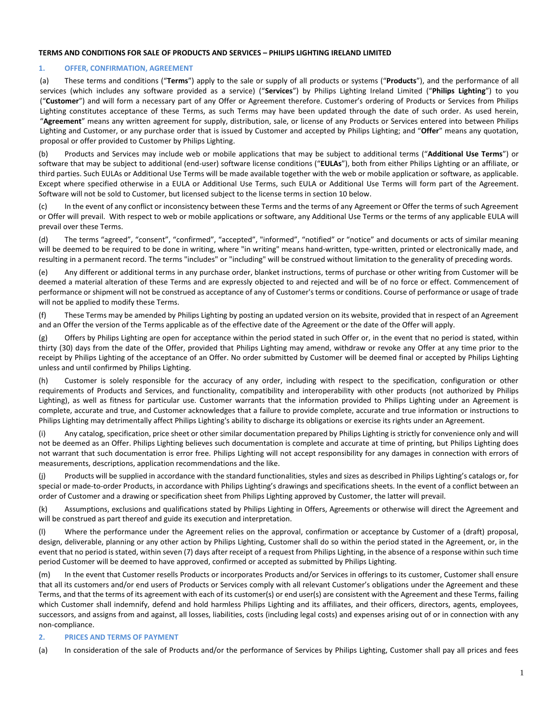#### **TERMS AND CONDITIONS FOR SALE OF PRODUCTS AND SERVICES – PHILIPS LIGHTING IRELAND LIMITED**

#### **1. OFFER, CONFIRMATION, AGREEMENT**

(a) These terms and conditions ("**Terms**") apply to the sale or supply of all products or systems ("**Products**"), and the performance of all services (which includes any software provided as a service) ("**Services**") by Philips Lighting Ireland Limited ("**Philips Lighting**") to you ("**Customer**") and will form a necessary part of any Offer or Agreement therefore. Customer's ordering of Products or Services from Philips Lighting constitutes acceptance of these Terms, as such Terms may have been updated through the date of such order. As used herein, "**Agreement**" means any written agreement for supply, distribution, sale, or license of any Products or Services entered into between Philips Lighting and Customer, or any purchase order that is issued by Customer and accepted by Philips Lighting; and "**Offer**" means any quotation, proposal or offer provided to Customer by Philips Lighting.

(b) Products and Services may include web or mobile applications that may be subject to additional terms ("**Additional Use Terms**") or software that may be subject to additional (end-user) software license conditions ("**EULAs**"), both from either Philips Lighting or an affiliate, or third parties. Such EULAs or Additional Use Terms will be made available together with the web or mobile application or software, as applicable. Except where specified otherwise in a EULA or Additional Use Terms, such EULA or Additional Use Terms will form part of the Agreement. Software will not be sold to Customer, but licensed subject to the license terms in section 10 below.

(c) In the event of any conflict or inconsistency between these Terms and the terms of any Agreement or Offer the terms of such Agreement or Offer will prevail. With respect to web or mobile applications or software, any Additional Use Terms or the terms of any applicable EULA will prevail over these Terms.

(d) The terms "agreed", "consent", "confirmed", "accepted", "informed", "notified" or "notice" and documents or acts of similar meaning will be deemed to be required to be done in writing, where "in writing" means hand-written, type-written, printed or electronically made, and resulting in a permanent record. The terms "includes" or "including" will be construed without limitation to the generality of preceding words.

(e) Any different or additional terms in any purchase order, blanket instructions, terms of purchase or other writing from Customer will be deemed a material alteration of these Terms and are expressly objected to and rejected and will be of no force or effect. Commencement of performance or shipment will not be construed as acceptance of any of Customer's terms or conditions. Course of performance or usage of trade will not be applied to modify these Terms.

(f) These Terms may be amended by Philips Lighting by posting an updated version on its website, provided that in respect of an Agreement and an Offer the version of the Terms applicable as of the effective date of the Agreement or the date of the Offer will apply.

(g) Offers by Philips Lighting are open for acceptance within the period stated in such Offer or, in the event that no period is stated, within thirty (30) days from the date of the Offer, provided that Philips Lighting may amend, withdraw or revoke any Offer at any time prior to the receipt by Philips Lighting of the acceptance of an Offer. No order submitted by Customer will be deemed final or accepted by Philips Lighting unless and until confirmed by Philips Lighting.

(h) Customer is solely responsible for the accuracy of any order, including with respect to the specification, configuration or other requirements of Products and Services, and functionality, compatibility and interoperability with other products (not authorized by Philips Lighting), as well as fitness for particular use. Customer warrants that the information provided to Philips Lighting under an Agreement is complete, accurate and true, and Customer acknowledges that a failure to provide complete, accurate and true information or instructions to Philips Lighting may detrimentally affect Philips Lighting's ability to discharge its obligations or exercise its rights under an Agreement.

(i) Any catalog, specification, price sheet or other similar documentation prepared by Philips Lighting is strictly for convenience only and will not be deemed as an Offer. Philips Lighting believes such documentation is complete and accurate at time of printing, but Philips Lighting does not warrant that such documentation is error free. Philips Lighting will not accept responsibility for any damages in connection with errors of measurements, descriptions, application recommendations and the like.

(j) Products will be supplied in accordance with the standard functionalities, styles and sizes as described in Philips Lighting's catalogs or, for special or made-to-order Products, in accordance with Philips Lighting's drawings and specifications sheets. In the event of a conflict between an order of Customer and a drawing or specification sheet from Philips Lighting approved by Customer, the latter will prevail.

(k) Assumptions, exclusions and qualifications stated by Philips Lighting in Offers, Agreements or otherwise will direct the Agreement and will be construed as part thereof and guide its execution and interpretation.

(l) Where the performance under the Agreement relies on the approval, confirmation or acceptance by Customer of a (draft) proposal, design, deliverable, planning or any other action by Philips Lighting, Customer shall do so within the period stated in the Agreement, or, in the event that no period is stated, within seven (7) days after receipt of a request from Philips Lighting, in the absence of a response within such time period Customer will be deemed to have approved, confirmed or accepted as submitted by Philips Lighting.

(m) In the event that Customer resells Products or incorporates Products and/or Services in offerings to its customer, Customer shall ensure that all its customers and/or end users of Products or Services comply with all relevant Customer's obligations under the Agreement and these Terms, and that the terms of its agreement with each of its customer(s) or end user(s) are consistent with the Agreement and these Terms, failing which Customer shall indemnify, defend and hold harmless Philips Lighting and its affiliates, and their officers, directors, agents, employees, successors, and assigns from and against, all losses, liabilities, costs (including legal costs) and expenses arising out of or in connection with any non-compliance.

### <span id="page-0-0"></span>**2. PRICES AND TERMS OF PAYMENT**

(a) In consideration of the sale of Products and/or the performance of Services by Philips Lighting, Customer shall pay all prices and fees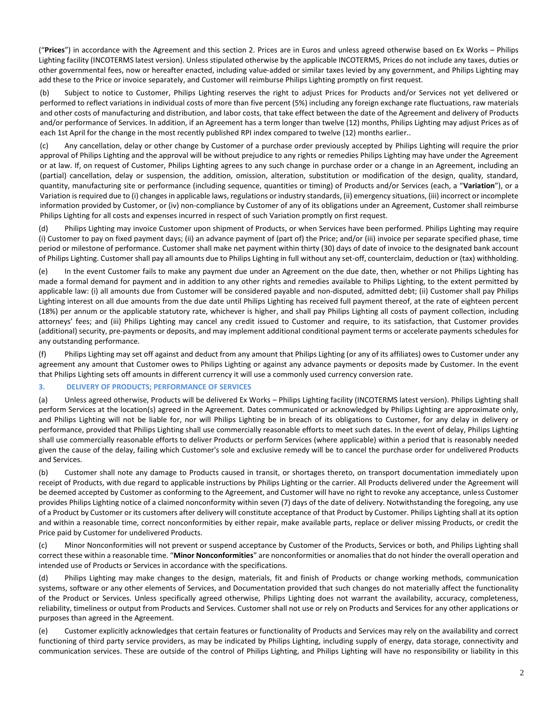("**Prices**") in accordance with the Agreement and this section 2. Prices are in Euros and unless agreed otherwise based on Ex Works – Philips Lighting facility (INCOTERMS latest version). Unless stipulated otherwise by the applicable INCOTERMS, Prices do not include any taxes, duties or other governmental fees, now or hereafter enacted, including value-added or similar taxes levied by any government, and Philips Lighting may add these to the Price or invoice separately, and Customer will reimburse Philips Lighting promptly on first request.

(b) Subject to notice to Customer, Philips Lighting reserves the right to adjust Prices for Products and/or Services not yet delivered or performed to reflect variations in individual costs of more than five percent (5%) including any foreign exchange rate fluctuations, raw materials and other costs of manufacturing and distribution, and labor costs, that take effect between the date of the Agreement and delivery of Products and/or performance of Services. In addition, if an Agreement has a term longer than twelve (12) months, Philips Lighting may adjust Prices as of each 1st April for the change in the most recently published RPI index compared to twelve (12) months earlier..

<span id="page-1-0"></span>(c) Any cancellation, delay or other change by Customer of a purchase order previously accepted by Philips Lighting will require the prior approval of Philips Lighting and the approval will be without prejudice to any rights or remedies Philips Lighting may have under the Agreement or at law. If, on request of Customer, Philips Lighting agrees to any such change in purchase order or a change in an Agreement, including an (partial) cancellation, delay or suspension, the addition, omission, alteration, substitution or modification of the design, quality, standard, quantity, manufacturing site or performance (including sequence, quantities or timing) of Products and/or Services (each, a "**Variation**"), or a Variation is required due to (i) changes in applicable laws, regulations or industry standards, (ii) emergency situations, (iii) incorrect or incomplete information provided by Customer, or (iv) non-compliance by Customer of any of its obligations under an Agreement, Customer shall reimburse Philips Lighting for all costs and expenses incurred in respect of such Variation promptly on first request.

(d) Philips Lighting may invoice Customer upon shipment of Products, or when Services have been performed. Philips Lighting may require (i) Customer to pay on fixed payment days; (ii) an advance payment of (part of) the Price; and/or (iii) invoice per separate specified phase, time period or milestone of performance. Customer shall make net payment within thirty (30) days of date of invoice to the designated bank account of Philips Lighting. Customer shall pay all amounts due to Philips Lighting in full without any set-off, counterclaim, deduction or (tax) withholding.

(e) In the event Customer fails to make any payment due under an Agreement on the due date, then, whether or not Philips Lighting has made a formal demand for payment and in addition to any other rights and remedies available to Philips Lighting, to the extent permitted by applicable law: (i) all amounts due from Customer will be considered payable and non-disputed, admitted debt; (ii) Customer shall pay Philips Lighting interest on all due amounts from the due date until Philips Lighting has received full payment thereof, at the rate of eighteen percent (18%) per annum or the applicable statutory rate, whichever is higher, and shall pay Philips Lighting all costs of payment collection, including attorneys' fees; and (iii) Philips Lighting may cancel any credit issued to Customer and require, to its satisfaction, that Customer provides (additional) security, pre-payments or deposits, and may implement additional conditional payment terms or accelerate payments schedules for any outstanding performance.

(f) Philips Lighting may set off against and deduct from any amount that Philips Lighting (or any of its affiliates) owes to Customer under any agreement any amount that Customer owes to Philips Lighting or against any advance payments or deposits made by Customer. In the event that Philips Lighting sets off amounts in different currency it will use a commonly used currency conversion rate.

### **3. DELIVERY OF PRODUCTS; PERFORMANCE OF SERVICES**

(a) Unless agreed otherwise, Products will be delivered Ex Works – Philips Lighting facility (INCOTERMS latest version). Philips Lighting shall perform Services at the location(s) agreed in the Agreement. Dates communicated or acknowledged by Philips Lighting are approximate only, and Philips Lighting will not be liable for, nor will Philips Lighting be in breach of its obligations to Customer, for any delay in delivery or performance, provided that Philips Lighting shall use commercially reasonable efforts to meet such dates. In the event of delay, Philips Lighting shall use commercially reasonable efforts to deliver Products or perform Services (where applicable) within a period that is reasonably needed given the cause of the delay, failing which Customer's sole and exclusive remedy will be to cancel the purchase order for undelivered Products and Services.

(b) Customer shall note any damage to Products caused in transit, or shortages thereto, on transport documentation immediately upon receipt of Products, with due regard to applicable instructions by Philips Lighting or the carrier. All Products delivered under the Agreement will be deemed accepted by Customer as conforming to the Agreement, and Customer will have no right to revoke any acceptance, unless Customer provides Philips Lighting notice of a claimed nonconformity within seven (7) days of the date of delivery. Notwithstanding the foregoing, any use of a Product by Customer or its customers after delivery will constitute acceptance of that Product by Customer. Philips Lighting shall at its option and within a reasonable time, correct nonconformities by either repair, make available parts, replace or deliver missing Products, or credit the Price paid by Customer for undelivered Products.

(c) Minor Nonconformities will not prevent or suspend acceptance by Customer of the Products, Services or both, and Philips Lighting shall correct these within a reasonable time. "**Minor Nonconformities**" are nonconformities or anomalies that do not hinder the overall operation and intended use of Products or Services in accordance with the specifications.

(d) Philips Lighting may make changes to the design, materials, fit and finish of Products or change working methods, communication systems, software or any other elements of Services, and Documentation provided that such changes do not materially affect the functionality of the Product or Services. Unless specifically agreed otherwise, Philips Lighting does not warrant the availability, accuracy, completeness, reliability, timeliness or output from Products and Services. Customer shall not use or rely on Products and Services for any other applications or purposes than agreed in the Agreement.

(e) Customer explicitly acknowledges that certain features or functionality of Products and Services may rely on the availability and correct functioning of third party service providers, as may be indicated by Philips Lighting, including supply of energy, data storage, connectivity and communication services. These are outside of the control of Philips Lighting, and Philips Lighting will have no responsibility or liability in this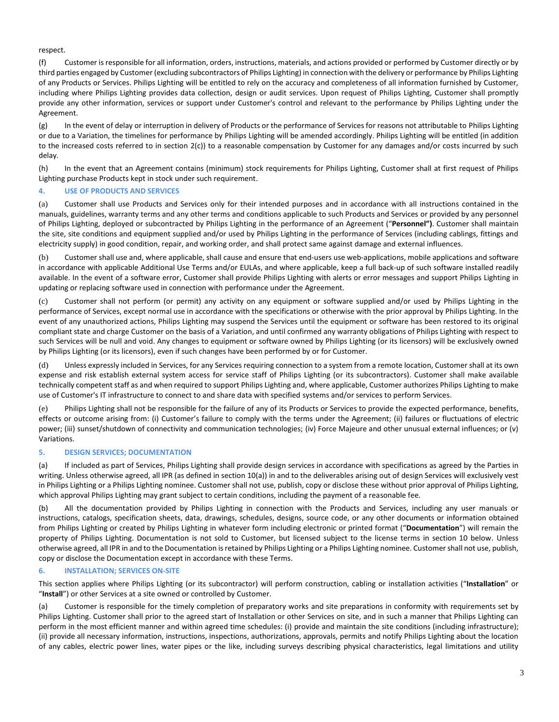respect.

(f) Customer is responsible for all information, orders, instructions, materials, and actions provided or performed by Customer directly or by third parties engaged by Customer (excluding subcontractors of Philips Lighting) in connection with the delivery or performance by Philips Lighting of any Products or Services. Philips Lighting will be entitled to rely on the accuracy and completeness of all information furnished by Customer, including where Philips Lighting provides data collection, design or audit services. Upon request of Philips Lighting, Customer shall promptly provide any other information, services or support under Customer's control and relevant to the performance by Philips Lighting under the Agreement.

(g) In the event of delay or interruption in delivery of Products or the performance of Services for reasons not attributable to Philips Lighting or due to a Variation, the timelines for performance by Philips Lighting will be amended accordingly. Philips Lighting will be entitled (in addition to the increased costs referred to in section [2](#page-0-0)[\(c\)\)](#page-1-0) to a reasonable compensation by Customer for any damages and/or costs incurred by such delay.

(h) In the event that an Agreement contains (minimum) stock requirements for Philips Lighting, Customer shall at first request of Philips Lighting purchase Products kept in stock under such requirement.

### **4. USE OF PRODUCTS AND SERVICES**

(a) Customer shall use Products and Services only for their intended purposes and in accordance with all instructions contained in the manuals, guidelines, warranty terms and any other terms and conditions applicable to such Products and Services or provided by any personnel of Philips Lighting, deployed or subcontracted by Philips Lighting in the performance of an Agreement ("**Personnel")**. Customer shall maintain the site, site conditions and equipment supplied and/or used by Philips Lighting in the performance of Services (including cablings, fittings and electricity supply) in good condition, repair, and working order, and shall protect same against damage and external influences.

(b) Customer shall use and, where applicable, shall cause and ensure that end-users use web-applications, mobile applications and software in accordance with applicable Additional Use Terms and/or EULAs, and where applicable, keep a full back-up of such software installed readily available. In the event of a software error, Customer shall provide Philips Lighting with alerts or error messages and support Philips Lighting in updating or replacing software used in connection with performance under the Agreement.

(c) Customer shall not perform (or permit) any activity on any equipment or software supplied and/or used by Philips Lighting in the performance of Services, except normal use in accordance with the specifications or otherwise with the prior approval by Philips Lighting. In the event of any unauthorized actions, Philips Lighting may suspend the Services until the equipment or software has been restored to its original compliant state and charge Customer on the basis of a Variation, and until confirmed any warranty obligations of Philips Lighting with respect to such Services will be null and void. Any changes to equipment or software owned by Philips Lighting (or its licensors) will be exclusively owned by Philips Lighting (or its licensors), even if such changes have been performed by or for Customer.

(d) Unless expressly included in Services, for any Services requiring connection to a system from a remote location, Customer shall at its own expense and risk establish external system access for service staff of Philips Lighting (or its subcontractors). Customer shall make available technically competent staff as and when required to support Philips Lighting and, where applicable, Customer authorizes Philips Lighting to make use of Customer's IT infrastructure to connect to and share data with specified systems and/or services to perform Services.

(e) Philips Lighting shall not be responsible for the failure of any of its Products or Services to provide the expected performance, benefits, effects or outcome arising from: (i) Customer's failure to comply with the terms under the Agreement; (ii) failures or fluctuations of electric power; (iii) sunset/shutdown of connectivity and communication technologies; (iv) Force Majeure and other unusual external influences; or (v) Variations.

### **5. DESIGN SERVICES; DOCUMENTATION**

(a) If included as part of Services, Philips Lighting shall provide design services in accordance with specifications as agreed by the Parties in writing. Unless otherwise agreed, all IPR (as defined in section [10](#page-4-0)[\(a\)\)](#page-4-1) in and to the deliverables arising out of design Services will exclusively vest in Philips Lighting or a Philips Lighting nominee. Customer shall not use, publish, copy or disclose these without prior approval of Philips Lighting, which approval Philips Lighting may grant subject to certain conditions, including the payment of a reasonable fee.

(b) All the documentation provided by Philips Lighting in connection with the Products and Services, including any user manuals or instructions, catalogs, specification sheets, data, drawings, schedules, designs, source code, or any other documents or information obtained from Philips Lighting or created by Philips Lighting in whatever form including electronic or printed format ("**Documentation**") will remain the property of Philips Lighting. Documentation is not sold to Customer, but licensed subject to the license terms in section 10 below. Unless otherwise agreed, all IPR in and to the Documentation is retained by Philips Lighting or a Philips Lighting nominee. Customer shall not use, publish, copy or disclose the Documentation except in accordance with these Terms.

### **6. INSTALLATION; SERVICES ON-SITE**

This section applies where Philips Lighting (or its subcontractor) will perform construction, cabling or installation activities ("**Installation**" or "**Install**") or other Services at a site owned or controlled by Customer.

(a) Customer is responsible for the timely completion of preparatory works and site preparations in conformity with requirements set by Philips Lighting. Customer shall prior to the agreed start of Installation or other Services on site, and in such a manner that Philips Lighting can perform in the most efficient manner and within agreed time schedules: (i) provide and maintain the site conditions (including infrastructure); (ii) provide all necessary information, instructions, inspections, authorizations, approvals, permits and notify Philips Lighting about the location of any cables, electric power lines, water pipes or the like, including surveys describing physical characteristics, legal limitations and utility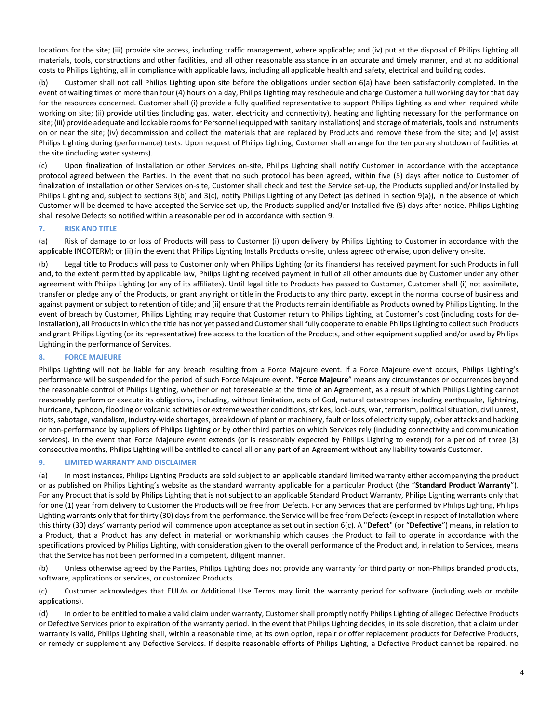locations for the site; (iii) provide site access, including traffic management, where applicable; and (iv) put at the disposal of Philips Lighting all materials, tools, constructions and other facilities, and all other reasonable assistance in an accurate and timely manner, and at no additional costs to Philips Lighting, all in compliance with applicable laws, including all applicable health and safety, electrical and building codes.

(b) Customer shall not call Philips Lighting upon site before the obligations under section 6(a) have been satisfactorily completed. In the event of waiting times of more than four (4) hours on a day, Philips Lighting may reschedule and charge Customer a full working day for that day for the resources concerned. Customer shall (i) provide a fully qualified representative to support Philips Lighting as and when required while working on site; (ii) provide utilities (including gas, water, electricity and connectivity), heating and lighting necessary for the performance on site; (iii) provide adequate and lockable rooms for Personnel (equipped with sanitary installations) and storage of materials, tools and instruments on or near the site; (iv) decommission and collect the materials that are replaced by Products and remove these from the site; and (v) assist Philips Lighting during (performance) tests. Upon request of Philips Lighting, Customer shall arrange for the temporary shutdown of facilities at the site (including water systems).

(c) Upon finalization of Installation or other Services on-site, Philips Lighting shall notify Customer in accordance with the acceptance protocol agreed between the Parties. In the event that no such protocol has been agreed, within five (5) days after notice to Customer of finalization of installation or other Services on-site, Customer shall check and test the Service set-up, the Products supplied and/or Installed by Philips Lighting and, subject to sections 3(b) and 3(c), notify Philips Lighting of any Defect (as defined in section [9](#page-3-0)[\(a\)\)](#page-3-1), in the absence of which Customer will be deemed to have accepted the Service set-up, the Products supplied and/or Installed five (5) days after notice. Philips Lighting shall resolve Defects so notified within a reasonable period in accordance with sectio[n 9.](#page-3-0)

### **7. RISK AND TITLE**

(a) Risk of damage to or loss of Products will pass to Customer (i) upon delivery by Philips Lighting to Customer in accordance with the applicable INCOTERM; or (ii) in the event that Philips Lighting Installs Products on-site, unless agreed otherwise, upon delivery on-site.

(b) Legal title to Products will pass to Customer only when Philips Lighting (or its financiers) has received payment for such Products in full and, to the extent permitted by applicable law, Philips Lighting received payment in full of all other amounts due by Customer under any other agreement with Philips Lighting (or any of its affiliates). Until legal title to Products has passed to Customer, Customer shall (i) not assimilate, transfer or pledge any of the Products, or grant any right or title in the Products to any third party, except in the normal course of business and against payment or subject to retention of title; and (ii) ensure that the Products remain identifiable as Products owned by Philips Lighting. In the event of breach by Customer, Philips Lighting may require that Customer return to Philips Lighting, at Customer's cost (including costs for deinstallation), all Products in which the title has not yet passed and Customer shall fully cooperate to enable Philips Lighting to collect such Products and grant Philips Lighting (or its representative) free access to the location of the Products, and other equipment supplied and/or used by Philips Lighting in the performance of Services.

# **8. FORCE MAJEURE**

Philips Lighting will not be liable for any breach resulting from a Force Majeure event. If a Force Majeure event occurs, Philips Lighting's performance will be suspended for the period of such Force Majeure event. "**Force Majeure**" means any circumstances or occurrences beyond the reasonable control of Philips Lighting, whether or not foreseeable at the time of an Agreement, as a result of which Philips Lighting cannot reasonably perform or execute its obligations, including, without limitation, acts of God, natural catastrophes including earthquake, lightning, hurricane, typhoon, flooding or volcanic activities or extreme weather conditions, strikes, lock-outs, war, terrorism, political situation, civil unrest, riots, sabotage, vandalism, industry-wide shortages, breakdown of plant or machinery, fault or loss of electricity supply, cyber attacks and hacking or non-performance by suppliers of Philips Lighting or by other third parties on which Services rely (including connectivity and communication services). In the event that Force Majeure event extends (or is reasonably expected by Philips Lighting to extend) for a period of three (3) consecutive months, Philips Lighting will be entitled to cancel all or any part of an Agreement without any liability towards Customer.

# <span id="page-3-0"></span>**9. LIMITED WARRANTY AND DISCLAIMER**

<span id="page-3-1"></span>(a) In most instances, Philips Lighting Products are sold subject to an applicable standard limited warranty either accompanying the product or as published on Philips Lighting's website as the standard warranty applicable for a particular Product (the "**Standard Product Warranty**"). For any Product that is sold by Philips Lighting that is not subject to an applicable Standard Product Warranty, Philips Lighting warrants only that for one (1) year from delivery to Customer the Products will be free from Defects. For any Services that are performed by Philips Lighting, Philips Lighting warrants only that for thirty (30) days from the performance, the Service will be free from Defects(except in respect of Installation where this thirty (30) days' warranty period will commence upon acceptance as set out in section 6(c). A "**Defect**" (or "**Defective**") means, in relation to a Product, that a Product has any defect in material or workmanship which causes the Product to fail to operate in accordance with the specifications provided by Philips Lighting, with consideration given to the overall performance of the Product and, in relation to Services, means that the Service has not been performed in a competent, diligent manner.

(b) Unless otherwise agreed by the Parties, Philips Lighting does not provide any warranty for third party or non-Philips branded products, software, applications or services, or customized Products.

(c) Customer acknowledges that EULAs or Additional Use Terms may limit the warranty period for software (including web or mobile applications).

(d) In order to be entitled to make a valid claim under warranty, Customer shall promptly notify Philips Lighting of alleged Defective Products or Defective Services prior to expiration of the warranty period. In the event that Philips Lighting decides, in its sole discretion, that a claim under warranty is valid, Philips Lighting shall, within a reasonable time, at its own option, repair or offer replacement products for Defective Products, or remedy or supplement any Defective Services. If despite reasonable efforts of Philips Lighting, a Defective Product cannot be repaired, no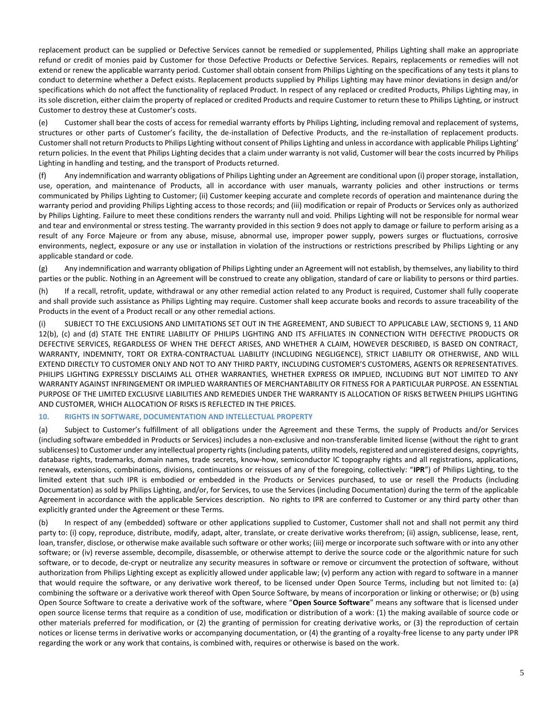replacement product can be supplied or Defective Services cannot be remedied or supplemented, Philips Lighting shall make an appropriate refund or credit of monies paid by Customer for those Defective Products or Defective Services. Repairs, replacements or remedies will not extend or renew the applicable warranty period. Customer shall obtain consent from Philips Lighting on the specifications of any tests it plans to conduct to determine whether a Defect exists. Replacement products supplied by Philips Lighting may have minor deviations in design and/or specifications which do not affect the functionality of replaced Product. In respect of any replaced or credited Products, Philips Lighting may, in its sole discretion, either claim the property of replaced or credited Products and require Customer to return these to Philips Lighting, or instruct Customer to destroy these at Customer's costs.

(e) Customer shall bear the costs of access for remedial warranty efforts by Philips Lighting, including removal and replacement of systems, structures or other parts of Customer's facility, the de-installation of Defective Products, and the re-installation of replacement products. Customer shall not return Products to Philips Lighting without consent of Philips Lighting and unless in accordance with applicable Philips Lighting' return policies. In the event that Philips Lighting decides that a claim under warranty is not valid, Customer will bear the costs incurred by Philips Lighting in handling and testing, and the transport of Products returned.

(f) Any indemnification and warranty obligations of Philips Lighting under an Agreement are conditional upon (i) proper storage, installation, use, operation, and maintenance of Products, all in accordance with user manuals, warranty policies and other instructions or terms communicated by Philips Lighting to Customer; (ii) Customer keeping accurate and complete records of operation and maintenance during the warranty period and providing Philips Lighting access to those records; and (iii) modification or repair of Products or Services only as authorized by Philips Lighting. Failure to meet these conditions renders the warranty null and void. Philips Lighting will not be responsible for normal wear and tear and environmental or stress testing. The warranty provided in this section 9 does not apply to damage or failure to perform arising as a result of any Force Majeure or from any abuse, misuse, abnormal use, improper power supply, powers surges or fluctuations, corrosive environments, neglect, exposure or any use or installation in violation of the instructions or restrictions prescribed by Philips Lighting or any applicable standard or code.

(g) Any indemnification and warranty obligation of Philips Lighting under an Agreement will not establish, by themselves, any liability to third parties or the public. Nothing in an Agreement will be construed to create any obligation, standard of care or liability to persons or third parties.

(h) If a recall, retrofit, update, withdrawal or any other remedial action related to any Product is required, Customer shall fully cooperate and shall provide such assistance as Philips Lighting may require. Customer shall keep accurate books and records to assure traceability of the Products in the event of a Product recall or any other remedial actions.

(i) SUBJECT TO THE EXCLUSIONS AND LIMITATIONS SET OUT IN THE AGREEMENT, AND SUBJECT TO APPLICABLE LAW, SECTION[S 9,](#page-3-0) 11 AND [12\(](#page-5-0)b), (c) and (d) STATE THE ENTIRE LIABILITY OF PHILIPS LIGHTING AND ITS AFFILIATES IN CONNECTION WITH DEFECTIVE PRODUCTS OR DEFECTIVE SERVICES, REGARDLESS OF WHEN THE DEFECT ARISES, AND WHETHER A CLAIM, HOWEVER DESCRIBED, IS BASED ON CONTRACT, WARRANTY, INDEMNITY, TORT OR EXTRA-CONTRACTUAL LIABILITY (INCLUDING NEGLIGENCE), STRICT LIABILITY OR OTHERWISE, AND WILL EXTEND DIRECTLY TO CUSTOMER ONLY AND NOT TO ANY THIRD PARTY, INCLUDING CUSTOMER'S CUSTOMERS, AGENTS OR REPRESENTATIVES. PHILIPS LIGHTING EXPRESSLY DISCLAIMS ALL OTHER WARRANTIES, WHETHER EXPRESS OR IMPLIED, INCLUDING BUT NOT LIMITED TO ANY WARRANTY AGAINST INFRINGEMENT OR IMPLIED WARRANTIES OF MERCHANTABILITY OR FITNESS FOR A PARTICULAR PURPOSE. AN ESSENTIAL PURPOSE OF THE LIMITED EXCLUSIVE LIABILITIES AND REMEDIES UNDER THE WARRANTY IS ALLOCATION OF RISKS BETWEEN PHILIPS LIGHTING AND CUSTOMER, WHICH ALLOCATION OF RISKS IS REFLECTED IN THE PRICES.

#### <span id="page-4-0"></span>**10. RIGHTS IN SOFTWARE, DOCUMENTATION AND INTELLECTUAL PROPERTY**

<span id="page-4-1"></span>(a) Subject to Customer's fulfillment of all obligations under the Agreement and these Terms, the supply of Products and/or Services (including software embedded in Products or Services) includes a non-exclusive and non-transferable limited license (without the right to grant sublicenses) to Customer under any intellectual property rights (including patents, utility models, registered and unregistered designs, copyrights, database rights, trademarks, domain names, trade secrets, know-how, semiconductor IC topography rights and all registrations, applications, renewals, extensions, combinations, divisions, continuations or reissues of any of the foregoing, collectively: "**IPR**") of Philips Lighting, to the limited extent that such IPR is embodied or embedded in the Products or Services purchased, to use or resell the Products (including Documentation) as sold by Philips Lighting, and/or, for Services, to use the Services (including Documentation) during the term of the applicable Agreement in accordance with the applicable Services description. No rights to IPR are conferred to Customer or any third party other than explicitly granted under the Agreement or these Terms.

(b) In respect of any (embedded) software or other applications supplied to Customer, Customer shall not and shall not permit any third party to: (i) copy, reproduce, distribute, modify, adapt, alter, translate, or create derivative works therefrom; (ii) assign, sublicense, lease, rent, loan, transfer, disclose, or otherwise make available such software or other works; (iii) merge or incorporate such software with or into any other software; or (iv) reverse assemble, decompile, disassemble, or otherwise attempt to derive the source code or the algorithmic nature for such software, or to decode, de-crypt or neutralize any security measures in software or remove or circumvent the protection of software, without authorization from Philips Lighting except as explicitly allowed under applicable law; (v) perform any action with regard to software in a manner that would require the software, or any derivative work thereof, to be licensed under Open Source Terms, including but not limited to: (a) combining the software or a derivative work thereof with Open Source Software, by means of incorporation or linking or otherwise; or (b) using Open Source Software to create a derivative work of the software, where "**Open Source Software**" means any software that is licensed under open source license terms that require as a condition of use, modification or distribution of a work: (1) the making available of source code or other materials preferred for modification, or (2) the granting of permission for creating derivative works, or (3) the reproduction of certain notices or license terms in derivative works or accompanying documentation, or (4) the granting of a royalty-free license to any party under IPR regarding the work or any work that contains, is combined with, requires or otherwise is based on the work.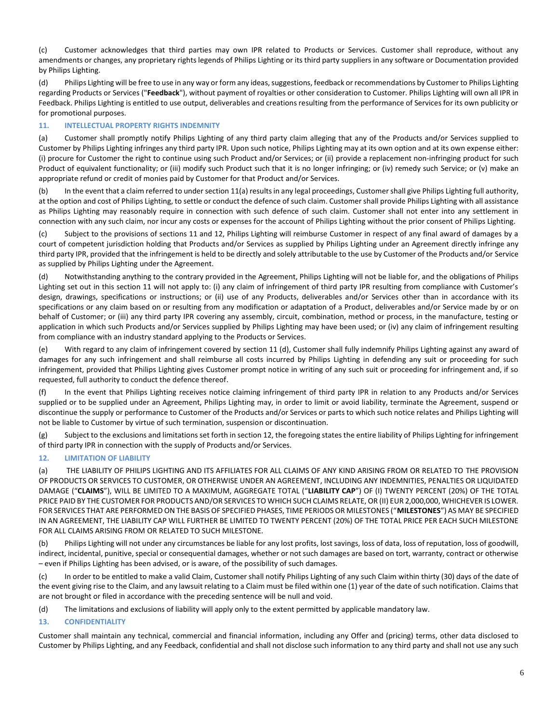(c) Customer acknowledges that third parties may own IPR related to Products or Services. Customer shall reproduce, without any amendments or changes, any proprietary rights legends of Philips Lighting or its third party suppliers in any software or Documentation provided by Philips Lighting.

(d) Philips Lighting will be free to use in any way or form any ideas, suggestions, feedback or recommendations by Customer to Philips Lighting regarding Products or Services ("**Feedback**"), without payment of royalties or other consideration to Customer. Philips Lighting will own all IPR in Feedback. Philips Lighting is entitled to use output, deliverables and creations resulting from the performance of Services for its own publicity or for promotional purposes.

# <span id="page-5-1"></span>**11. INTELLECTUAL PROPERTY RIGHTS INDEMNITY**

<span id="page-5-2"></span>(a) Customer shall promptly notify Philips Lighting of any third party claim alleging that any of the Products and/or Services supplied to Customer by Philips Lighting infringes any third party IPR. Upon such notice, Philips Lighting may at its own option and at its own expense either: (i) procure for Customer the right to continue using such Product and/or Services; or (ii) provide a replacement non-infringing product for such Product of equivalent functionality; or (iii) modify such Product such that it is no longer infringing; or (iv) remedy such Service; or (v) make an appropriate refund or credit of monies paid by Customer for that Product and/or Services.

(b) In the event that a claim referred to under sectio[n 11](#page-5-1)[\(a\)](#page-5-2) results in any legal proceedings, Customer shall give Philips Lighting full authority, at the option and cost of Philips Lighting, to settle or conduct the defence of such claim. Customer shall provide Philips Lighting with all assistance as Philips Lighting may reasonably require in connection with such defence of such claim. Customer shall not enter into any settlement in connection with any such claim, nor incur any costs or expenses for the account of Philips Lighting without the prior consent of Philips Lighting.

(c) Subject to the provisions of sections [11](#page-5-1) and [12,](#page-5-0) Philips Lighting will reimburse Customer in respect of any final award of damages by a court of competent jurisdiction holding that Products and/or Services as supplied by Philips Lighting under an Agreement directly infringe any third party IPR, provided that the infringement is held to be directly and solely attributable to the use by Customer of the Products and/or Service as supplied by Philips Lighting under the Agreement.

(d) Notwithstanding anything to the contrary provided in the Agreement, Philips Lighting will not be liable for, and the obligations of Philips Lighting set out in this section [11](#page-5-1) will not apply to: (i) any claim of infringement of third party IPR resulting from compliance with Customer's design, drawings, specifications or instructions; or (ii) use of any Products, deliverables and/or Services other than in accordance with its specifications or any claim based on or resulting from any modification or adaptation of a Product, deliverables and/or Service made by or on behalf of Customer; or (iii) any third party IPR covering any assembly, circuit, combination, method or process, in the manufacture, testing or application in which such Products and/or Services supplied by Philips Lighting may have been used; or (iv) any claim of infringement resulting from compliance with an industry standard applying to the Products or Services.

(e) With regard to any claim of infringement covered by section 11 (d), Customer shall fully indemnify Philips Lighting against any award of damages for any such infringement and shall reimburse all costs incurred by Philips Lighting in defending any suit or proceeding for such infringement, provided that Philips Lighting gives Customer prompt notice in writing of any such suit or proceeding for infringement and, if so requested, full authority to conduct the defence thereof.

(f) In the event that Philips Lighting receives notice claiming infringement of third party IPR in relation to any Products and/or Services supplied or to be supplied under an Agreement, Philips Lighting may, in order to limit or avoid liability, terminate the Agreement, suspend or discontinue the supply or performance to Customer of the Products and/or Services or parts to which such notice relates and Philips Lighting will not be liable to Customer by virtue of such termination, suspension or discontinuation.

(g) Subject to the exclusions and limitations set forth in sectio[n 12,](#page-5-0) the foregoing states the entire liability of Philips Lighting for infringement of third party IPR in connection with the supply of Products and/or Services.

### <span id="page-5-0"></span>**12. LIMITATION OF LIABILITY**

(a) THE LIABILITY OF PHILIPS LIGHTING AND ITS AFFILIATES FOR ALL CLAIMS OF ANY KIND ARISING FROM OR RELATED TO THE PROVISION OF PRODUCTS OR SERVICES TO CUSTOMER, OR OTHERWISE UNDER AN AGREEMENT, INCLUDING ANY INDEMNITIES, PENALTIES OR LIQUIDATED DAMAGE ("**CLAIMS**"), WILL BE LIMITED TO A MAXIMUM, AGGREGATE TOTAL ("**LIABILITY CAP**") OF (I) TWENTY PERCENT (20%) OF THE TOTAL PRICE PAID BY THE CUSTOMER FOR PRODUCTS AND/OR SERVICES TO WHICH SUCH CLAIMS RELATE, OR (II) EUR 2,000,000, WHICHEVER IS LOWER. FOR SERVICES THAT ARE PERFORMED ON THE BASIS OF SPECIFIED PHASES, TIME PERIODS OR MILESTONES ("**MILESTONES**") AS MAY BE SPECIFIED IN AN AGREEMENT, THE LIABILITY CAP WILL FURTHER BE LIMITED TO TWENTY PERCENT (20%) OF THE TOTAL PRICE PER EACH SUCH MILESTONE FOR ALL CLAIMS ARISING FROM OR RELATED TO SUCH MILESTONE.

(b) Philips Lighting will not under any circumstances be liable for any lost profits, lost savings, loss of data, loss of reputation, loss of goodwill, indirect, incidental, punitive, special or consequential damages, whether or not such damages are based on tort, warranty, contract or otherwise – even if Philips Lighting has been advised, or is aware, of the possibility of such damages.

(c) In order to be entitled to make a valid Claim, Customer shall notify Philips Lighting of any such Claim within thirty (30) days of the date of the event giving rise to the Claim, and any lawsuit relating to a Claim must be filed within one (1) year of the date of such notification. Claims that are not brought or filed in accordance with the preceding sentence will be null and void.

(d) The limitations and exclusions of liability will apply only to the extent permitted by applicable mandatory law.

### **13. CONFIDENTIALITY**

Customer shall maintain any technical, commercial and financial information, including any Offer and (pricing) terms, other data disclosed to Customer by Philips Lighting, and any Feedback, confidential and shall not disclose such information to any third party and shall not use any such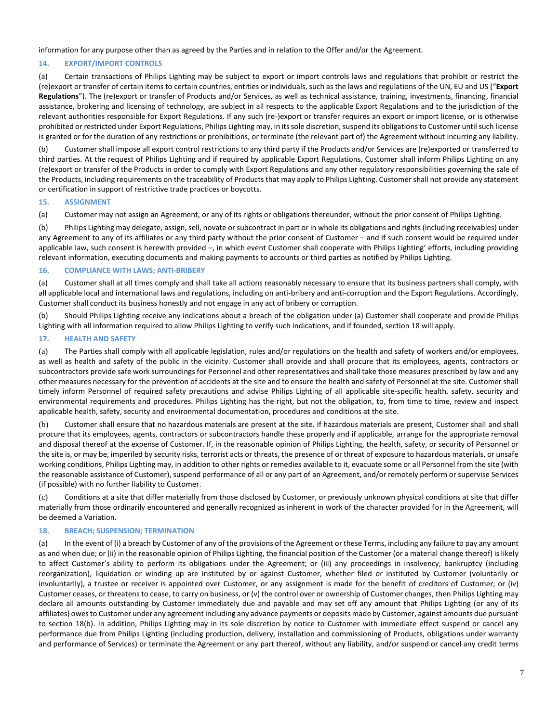information for any purpose other than as agreed by the Parties and in relation to the Offer and/or the Agreement.

# **14. EXPORT/IMPORT CONTROLS**

(a) Certain transactions of Philips Lighting may be subject to export or import controls laws and regulations that prohibit or restrict the (re)export or transfer of certain items to certain countries, entities or individuals, such as the laws and regulations of the UN, EU and US ("**Export Regulations**"). The (re)export or transfer of Products and/or Services, as well as technical assistance, training, investments, financing, financial assistance, brokering and licensing of technology, are subject in all respects to the applicable Export Regulations and to the jurisdiction of the relevant authorities responsible for Export Regulations. If any such (re-)export or transfer requires an export or import license, or is otherwise prohibited or restricted under Export Regulations, Philips Lighting may, in its sole discretion, suspend its obligations to Customer until such license is granted or for the duration of any restrictions or prohibitions, or terminate (the relevant part of) the Agreement without incurring any liability.

(b) Customer shall impose all export control restrictions to any third party if the Products and/or Services are (re)exported or transferred to third parties. At the request of Philips Lighting and if required by applicable Export Regulations, Customer shall inform Philips Lighting on any (re)export or transfer of the Products in order to comply with Export Regulations and any other regulatory responsibilities governing the sale of the Products, including requirements on the traceability of Products that may apply to Philips Lighting. Customer shall not provide any statement or certification in support of restrictive trade practices or boycotts.

#### **15. ASSIGNMENT**

(a) Customer may not assign an Agreement, or any of its rights or obligations thereunder, without the prior consent of Philips Lighting.

(b) Philips Lighting may delegate, assign, sell, novate or subcontract in part or in whole its obligations and rights (including receivables) under any Agreement to any of its affiliates or any third party without the prior consent of Customer – and if such consent would be required under applicable law, such consent is herewith provided –, in which event Customer shall cooperate with Philips Lighting' efforts, including providing relevant information, executing documents and making payments to accounts or third parties as notified by Philips Lighting.

#### **16. COMPLIANCE WITH LAWS; ANTI-BRIBERY**

(a) Customer shall at all times comply and shall take all actions reasonably necessary to ensure that its business partners shall comply, with all applicable local and international laws and regulations, including on anti-bribery and anti-corruption and the Export Regulations. Accordingly, Customer shall conduct its business honestly and not engage in any act of bribery or corruption.

(b) Should Philips Lighting receive any indications about a breach of the obligation under (a) Customer shall cooperate and provide Philips Lighting with all information required to allow Philips Lighting to verify such indications, and if founded, section 18 will apply.

#### **17. HEALTH AND SAFETY**

(a) The Parties shall comply with all applicable legislation, rules and/or regulations on the health and safety of workers and/or employees, as well as health and safety of the public in the vicinity. Customer shall provide and shall procure that its employees, agents, contractors or subcontractors provide safe work surroundings for Personnel and other representatives and shall take those measures prescribed by law and any other measures necessary for the prevention of accidents at the site and to ensure the health and safety of Personnel at the site. Customer shall timely inform Personnel of required safety precautions and advise Philips Lighting of all applicable site-specific health, safety, security and environmental requirements and procedures. Philips Lighting has the right, but not the obligation, to, from time to time, review and inspect applicable health, safety, security and environmental documentation, procedures and conditions at the site.

(b) Customer shall ensure that no hazardous materials are present at the site. If hazardous materials are present, Customer shall and shall procure that its employees, agents, contractors or subcontractors handle these properly and if applicable, arrange for the appropriate removal and disposal thereof at the expense of Customer. If, in the reasonable opinion of Philips Lighting, the health, safety, or security of Personnel or the site is, or may be, imperiled by security risks, terrorist acts or threats, the presence of or threat of exposure to hazardous materials, or unsafe working conditions, Philips Lighting may, in addition to other rights or remedies available to it, evacuate some or all Personnel from the site (with the reasonable assistance of Customer), suspend performance of all or any part of an Agreement, and/or remotely perform or supervise Services (if possible) with no further liability to Customer.

(c) Conditions at a site that differ materially from those disclosed by Customer, or previously unknown physical conditions at site that differ materially from those ordinarily encountered and generally recognized as inherent in work of the character provided for in the Agreement, will be deemed a Variation.

### **18. BREACH; SUSPENSION; TERMINATION**

(a) In the event of (i) a breach by Customer of any of the provisions of the Agreement or these Terms, including any failure to pay any amount as and when due; or (ii) in the reasonable opinion of Philips Lighting, the financial position of the Customer (or a material change thereof) is likely to affect Customer's ability to perform its obligations under the Agreement; or (iii) any proceedings in insolvency, bankruptcy (including reorganization), liquidation or winding up are instituted by or against Customer, whether filed or instituted by Customer (voluntarily or involuntarily), a trustee or receiver is appointed over Customer, or any assignment is made for the benefit of creditors of Customer; or (iv) Customer ceases, or threatens to cease, to carry on business, or (v) the control over or ownership of Customer changes, then Philips Lighting may declare all amounts outstanding by Customer immediately due and payable and may set off any amount that Philips Lighting (or any of its affiliates) owes to Customer under any agreement including any advance payments or deposits made by Customer, against amounts due pursuant to section 18(b). In addition, Philips Lighting may in its sole discretion by notice to Customer with immediate effect suspend or cancel any performance due from Philips Lighting (including production, delivery, installation and commissioning of Products, obligations under warranty and performance of Services) or terminate the Agreement or any part thereof, without any liability, and/or suspend or cancel any credit terms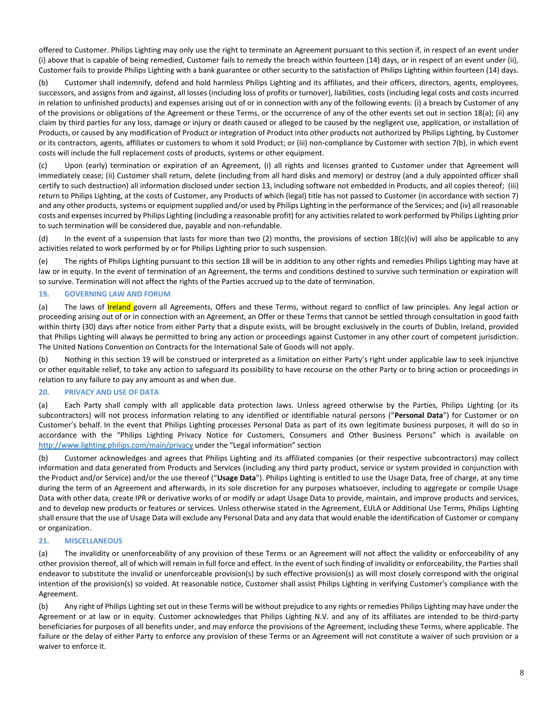offered to Customer. Philips Lighting may only use the right to terminate an Agreement pursuant to this section if, in respect of an event under (i) above that is capable of being remedied, Customer fails to remedy the breach within fourteen (14) days, or in respect of an event under (ii), Customer fails to provide Philips Lighting with a bank guarantee or other security to the satisfaction of Philips Lighting within fourteen (14) days.

(b) Customer shall indemnify, defend and hold harmless Philips Lighting and its affiliates, and their officers, directors, agents, employees, successors, and assigns from and against, all losses (including loss of profits or turnover), liabilities, costs (including legal costs and costs incurred in relation to unfinished products) and expenses arising out of or in connection with any of the following events: (i) a breach by Customer of any of the provisions or obligations of the Agreement or these Terms, or the occurrence of any of the other events set out in section 18(a); (ii) any claim by third parties for any loss, damage or injury or death caused or alleged to be caused by the negligent use, application, or installation of Products, or caused by any modification of Product or integration of Product into other products not authorized by Philips Lighting, by Customer or its contractors, agents, affiliates or customers to whom it sold Product; or (iii) non-compliance by Customer with section 7(b), in which event costs will include the full replacement costs of products, systems or other equipment.

(c) Upon (early) termination or expiration of an Agreement, (i) all rights and licenses granted to Customer under that Agreement will immediately cease; (ii) Customer shall return, delete (including from all hard disks and memory) or destroy (and a duly appointed officer shall certify to such destruction) all information disclosed under section 13, including software not embedded in Products, and all copies thereof; (iii) return to Philips Lighting, at the costs of Customer, any Products of which (legal) title has not passed to Customer (in accordance with section 7) and any other products, systems or equipment supplied and/or used by Philips Lighting in the performance of the Services; and (iv) all reasonable costs and expenses incurred by Philips Lighting (including a reasonable profit) for any activities related to work performed by Philips Lighting prior to such termination will be considered due, payable and non-refundable.

(d) In the event of a suspension that lasts for more than two (2) months, the provisions of section 18(c)(iv) will also be applicable to any activities related to work performed by or for Philips Lighting prior to such suspension.

(e) The rights of Philips Lighting pursuant to this section 18 will be in addition to any other rights and remedies Philips Lighting may have at law or in equity. In the event of termination of an Agreement, the terms and conditions destined to survive such termination or expiration will so survive. Termination will not affect the rights of the Parties accrued up to the date of termination.

#### **19. GOVERNING LAW AND FORUM**

(a) The laws of *Ireland govern all Agreements, Offers and these Terms, without regard to conflict of law principles. Any legal action or* proceeding arising out of or in connection with an Agreement, an Offer or these Terms that cannot be settled through consultation in good faith within thirty (30) days after notice from either Party that a dispute exists, will be brought exclusively in the courts of Dublin, Ireland, provided that Philips Lighting will always be permitted to bring any action or proceedings against Customer in any other court of competent jurisdiction. The United Nations Convention on Contracts for the International Sale of Goods will not apply.

(b) Nothing in this section 19 will be construed or interpreted as a limitation on either Party's right under applicable law to seek injunctive or other equitable relief, to take any action to safeguard its possibility to have recourse on the other Party or to bring action or proceedings in relation to any failure to pay any amount as and when due.

#### **20. PRIVACY AND USE OF DATA**

(a) Each Party shall comply with all applicable data protection laws. Unless agreed otherwise by the Parties, Philips Lighting (or its subcontractors) will not process information relating to any identified or identifiable natural persons ("**Personal Data**") for Customer or on Customer's behalf. In the event that Philips Lighting processes Personal Data as part of its own legitimate business purposes, it will do so in accordance with the "Philips Lighting Privacy Notice for Customers, Consumers and Other Business Persons" which is available on <http://www.lighting.philips.com/main/privacy> under the "Legal information" section

(b) Customer acknowledges and agrees that Philips Lighting and its affiliated companies (or their respective subcontractors) may collect information and data generated from Products and Services (including any third party product, service or system provided in conjunction with the Product and/or Service) and/or the use thereof ("**Usage Data**"). Philips Lighting is entitled to use the Usage Data, free of charge, at any time during the term of an Agreement and afterwards, in its sole discretion for any purposes whatsoever, including to aggregate or compile Usage Data with other data, create IPR or derivative works of or modify or adapt Usage Data to provide, maintain, and improve products and services, and to develop new products or features or services. Unless otherwise stated in the Agreement, EULA or Additional Use Terms, Philips Lighting shall ensure that the use of Usage Data will exclude any Personal Data and any data that would enable the identification of Customer or company or organization.

#### **21. MISCELLANEOUS**

(a) The invalidity or unenforceability of any provision of these Terms or an Agreement will not affect the validity or enforceability of any other provision thereof, all of which will remain in full force and effect. In the event of such finding of invalidity or enforceability, the Parties shall endeavor to substitute the invalid or unenforceable provision(s) by such effective provision(s) as will most closely correspond with the original intention of the provision(s) so voided. At reasonable notice, Customer shall assist Philips Lighting in verifying Customer's compliance with the Agreement.

(b) Any right of Philips Lighting set out in these Terms will be without prejudice to any rights or remedies Philips Lighting may have under the Agreement or at law or in equity. Customer acknowledges that Philips Lighting N.V. and any of its affiliates are intended to be third-party beneficiaries for purposes of all benefits under, and may enforce the provisions of the Agreement, including these Terms, where applicable. The failure or the delay of either Party to enforce any provision of these Terms or an Agreement will not constitute a waiver of such provision or a waiver to enforce it.